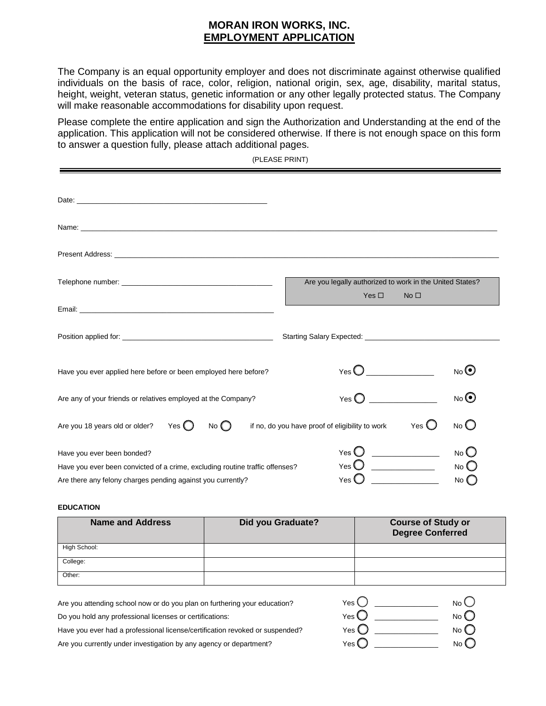## **MORAN IRON WORKS, INC. EMPLOYMENT APPLICATION**

The Company is an equal opportunity employer and does not discriminate against otherwise qualified individuals on the basis of race, color, religion, national origin, sex, age, disability, marital status, height, weight, veteran status, genetic information or any other legally protected status. The Company will make reasonable accommodations for disability upon request.

Please complete the entire application and sign the Authorization and Understanding at the end of the application. This application will not be considered otherwise. If there is not enough space on this form to answer a question fully, please attach additional pages.

(PLEASE PRINT)

| Present Address: Note of the Contract of the Contract of the Contract of the Contract of the Contract of the Contract of the Contract of the Contract of the Contract of the Contract of the Contract of the Contract of the C |                                                                                           |
|--------------------------------------------------------------------------------------------------------------------------------------------------------------------------------------------------------------------------------|-------------------------------------------------------------------------------------------|
|                                                                                                                                                                                                                                | Are you legally authorized to work in the United States?<br>Yes $\Box$<br>No <sub>1</sub> |
|                                                                                                                                                                                                                                |                                                                                           |
|                                                                                                                                                                                                                                |                                                                                           |
| Have you ever applied here before or been employed here before?                                                                                                                                                                | No <sup>o</sup>                                                                           |
| Are any of your friends or relatives employed at the Company?                                                                                                                                                                  | $N$ o $\odot$<br>Yes $\bigcirc$                                                           |
| Are you 18 years old or older? Yes $\bigcirc$<br>No $\bigcirc$                                                                                                                                                                 | $No$ $O$<br>Yes $\bigcirc$<br>if no, do you have proof of eligibility to work             |
| Have you ever been bonded?<br>Have you ever been convicted of a crime, excluding routine traffic offenses?<br>Are there any felony charges pending against you currently?                                                      | No<br>Yes $\bigcup$<br>$Yes$ $\bigcup$ $\qquad$<br>$No$ $O$<br>Yes $\bigcirc$<br>No       |

## **EDUCATION**

| <b>Name and Address</b> | <b>Did you Graduate?</b> | <b>Course of Study or</b><br><b>Degree Conferred</b> |
|-------------------------|--------------------------|------------------------------------------------------|
| High School:            |                          |                                                      |
| College:                |                          |                                                      |
| Other:                  |                          |                                                      |

Are you attending school now or do you plan on furthering your education? No Do you hold any professional licenses or certifications: Have you ever had a professional license/certification revoked or suspended? No  $\bigcirc$  No  $\bigcirc$  No  $\bigcirc$ Are you currently under investigation by any agency or department? Yes \_\_\_\_\_\_\_\_\_\_\_\_\_\_\_\_ Yes  $\bigcup$   $\begin{array}{ccc} \begin{array}{ccc} \text{ } & \end{array} \end{array}$ Yes  $\bigcup$  \_\_\_\_\_\_\_\_\_\_\_\_\_\_ Yes \_\_\_\_\_\_\_\_\_\_\_\_\_\_\_\_ No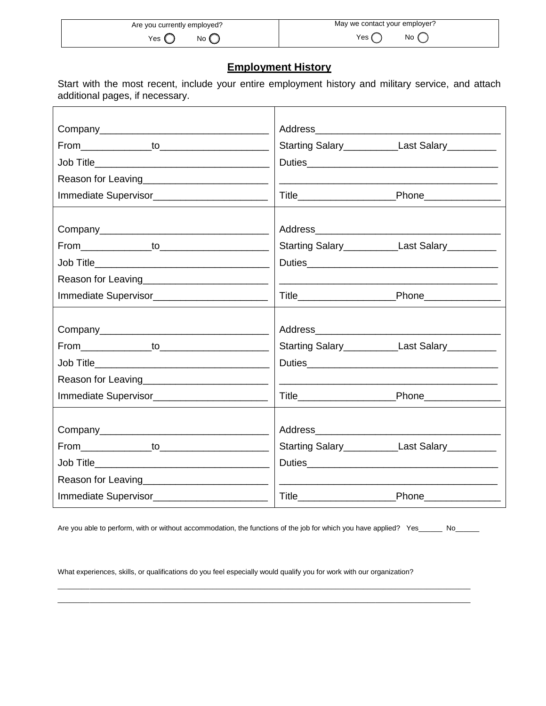| Are you currently employed? | May we contact your employer? |
|-----------------------------|-------------------------------|
| No                          | No                            |
| Yes                         | Yes                           |

## **Employment History**

Start with the most recent, include your entire employment history and military service, and attach additional pages, if necessary.

|                                                  | Starting Salary_______________Last Salary__________                                                                   |                       |
|--------------------------------------------------|-----------------------------------------------------------------------------------------------------------------------|-----------------------|
|                                                  |                                                                                                                       |                       |
| Reason for Leaving__________________________     |                                                                                                                       |                       |
| Immediate Supervisor____________________________ |                                                                                                                       |                       |
|                                                  |                                                                                                                       |                       |
|                                                  |                                                                                                                       |                       |
|                                                  | Starting Salary______________Last Salary__________                                                                    |                       |
|                                                  |                                                                                                                       |                       |
|                                                  |                                                                                                                       |                       |
| Immediate Supervisor__________________________   |                                                                                                                       |                       |
|                                                  |                                                                                                                       |                       |
|                                                  |                                                                                                                       |                       |
|                                                  | Starting Salary______________Last Salary___________                                                                   |                       |
|                                                  |                                                                                                                       |                       |
|                                                  | <u> 1990 - Johann Barbara, martin eta politikar</u>                                                                   |                       |
| Immediate Supervisor__________________________   |                                                                                                                       |                       |
|                                                  |                                                                                                                       |                       |
|                                                  |                                                                                                                       |                       |
|                                                  | Starting Salary________________Last Salary___________                                                                 |                       |
|                                                  |                                                                                                                       |                       |
|                                                  | <u> 1989 - Johann Harry Harry Harry Harry Harry Harry Harry Harry Harry Harry Harry Harry Harry Harry Harry Harry</u> |                       |
| Immediate Supervisor________________________     |                                                                                                                       | Phone________________ |

Are you able to perform, with or without accommodation, the functions of the job for which you have applied? Yes\_\_\_\_\_\_ No\_\_\_\_\_\_

\_\_\_\_\_\_\_\_\_\_\_\_\_\_\_\_\_\_\_\_\_\_\_\_\_\_\_\_\_\_\_\_\_\_\_\_\_\_\_\_\_\_\_\_\_\_\_\_\_\_\_\_\_\_\_\_\_\_\_\_\_\_\_\_\_\_\_\_\_\_\_\_\_\_\_\_\_\_\_\_\_\_\_\_\_\_\_\_\_\_\_\_\_\_\_\_\_\_\_\_\_\_\_\_ \_\_\_\_\_\_\_\_\_\_\_\_\_\_\_\_\_\_\_\_\_\_\_\_\_\_\_\_\_\_\_\_\_\_\_\_\_\_\_\_\_\_\_\_\_\_\_\_\_\_\_\_\_\_\_\_\_\_\_\_\_\_\_\_\_\_\_\_\_\_\_\_\_\_\_\_\_\_\_\_\_\_\_\_\_\_\_\_\_\_\_\_\_\_\_\_\_\_\_\_\_\_\_\_

What experiences, skills, or qualifications do you feel especially would qualify you for work with our organization?